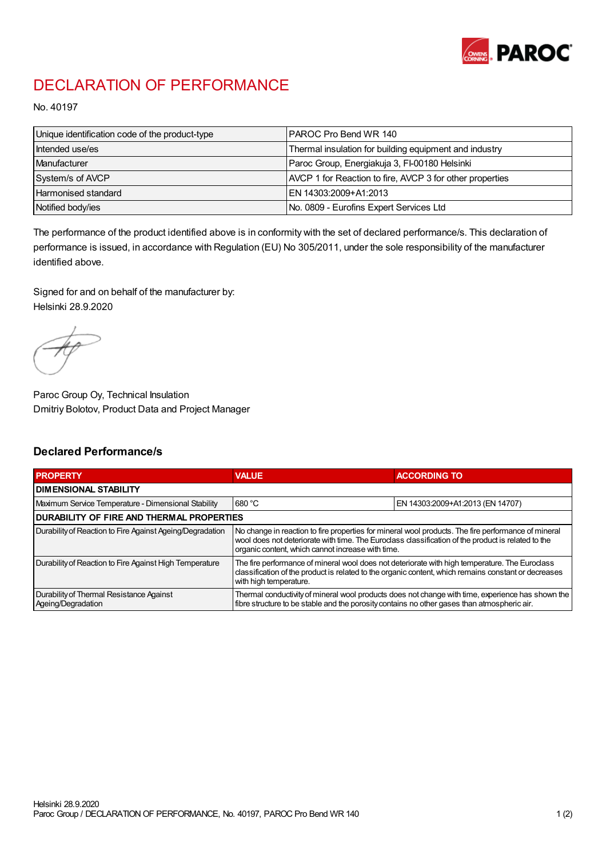

## DECLARATION OF PERFORMANCE

No. 40197

| Unique identification code of the product-type | IPAROC Pro Bend WR 140                                   |
|------------------------------------------------|----------------------------------------------------------|
| Intended use/es                                | Thermal insulation for building equipment and industry   |
| Manufacturer                                   | Paroc Group, Energiakuja 3, FI-00180 Helsinki            |
| System/s of AVCP                               | AVCP 1 for Reaction to fire, AVCP 3 for other properties |
| Harmonised standard                            | IEN 14303:2009+A1:2013                                   |
| Notified body/ies                              | No. 0809 - Eurofins Expert Services Ltd                  |

The performance of the product identified above is in conformity with the set of declared performance/s. This declaration of performance is issued, in accordance with Regulation (EU) No 305/2011, under the sole responsibility of the manufacturer identified above.

Signed for and on behalf of the manufacturer by: Helsinki 28.9.2020

Paroc Group Oy, Technical Insulation Dmitriy Bolotov, Product Data and Project Manager

## Declared Performance/s

| <b>PROPERTY</b>                                                | <b>VALUE</b>                                                                                                                                                                                                                                                   | <b>ACCORDING TO</b>              |  |
|----------------------------------------------------------------|----------------------------------------------------------------------------------------------------------------------------------------------------------------------------------------------------------------------------------------------------------------|----------------------------------|--|
| <b>DIMENSIONAL STABILITY</b>                                   |                                                                                                                                                                                                                                                                |                                  |  |
| Maximum Service Temperature - Dimensional Stability            | 680 °C                                                                                                                                                                                                                                                         | EN 14303:2009+A1:2013 (EN 14707) |  |
| <b>DURABILITY OF FIRE AND THERMAL PROPERTIES</b>               |                                                                                                                                                                                                                                                                |                                  |  |
| Durability of Reaction to Fire Against Ageing/Degradation      | No change in reaction to fire properties for mineral wool products. The fire performance of mineral<br>wool does not deteriorate with time. The Euroclass classification of the product is related to the<br>organic content, which cannot increase with time. |                                  |  |
| Durability of Reaction to Fire Against High Temperature        | The fire performance of mineral wool does not deteriorate with high temperature. The Euroclass<br>classification of the product is related to the organic content, which remains constant or decreases<br>with high temperature.                               |                                  |  |
| Durability of Thermal Resistance Against<br>Ageing/Degradation | Thermal conductivity of mineral wool products does not change with time, experience has shown the<br>fibre structure to be stable and the porosity contains no other gases than atmospheric air.                                                               |                                  |  |